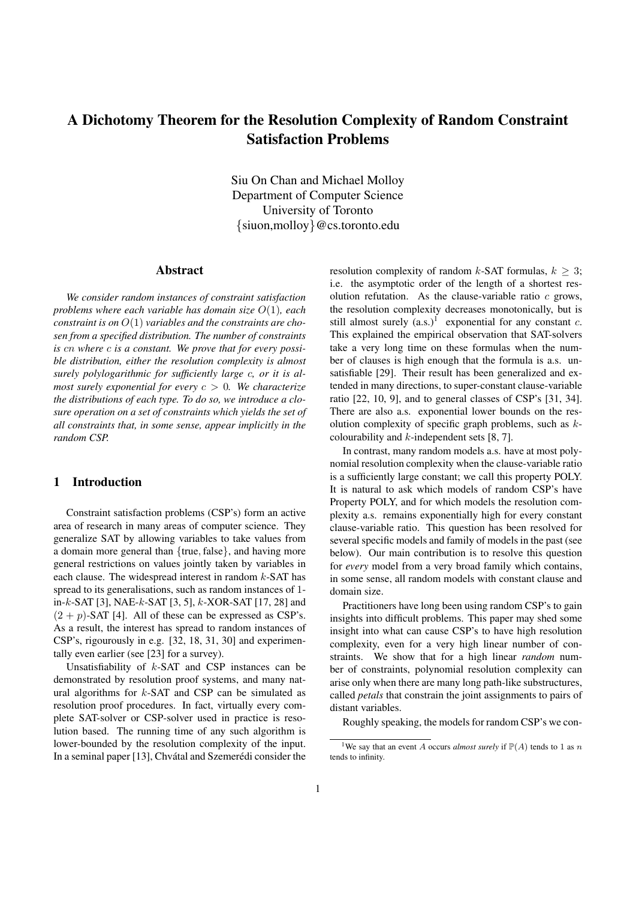# A Dichotomy Theorem for the Resolution Complexity of Random Constraint Satisfaction Problems

Siu On Chan and Michael Molloy Department of Computer Science University of Toronto {siuon,molloy}@cs.toronto.edu

#### Abstract

*We consider random instances of constraint satisfaction problems where each variable has domain size* O(1)*, each constraint is on* O(1) *variables and the constraints are chosen from a specified distribution. The number of constraints is* cn *where* c *is a constant. We prove that for every possible distribution, either the resolution complexity is almost surely polylogarithmic for sufficiently large* c*, or it is almost surely exponential for every* c > 0*. We characterize the distributions of each type. To do so, we introduce a closure operation on a set of constraints which yields the set of all constraints that, in some sense, appear implicitly in the random CSP.*

#### 1 Introduction

Constraint satisfaction problems (CSP's) form an active area of research in many areas of computer science. They generalize SAT by allowing variables to take values from a domain more general than  ${true, false}$ , and having more general restrictions on values jointly taken by variables in each clause. The widespread interest in random  $k$ -SAT has spread to its generalisations, such as random instances of 1 in-k-SAT [3], NAE-k-SAT [3, 5], k-XOR-SAT [17, 28] and  $(2 + p)$ -SAT [4]. All of these can be expressed as CSP's. As a result, the interest has spread to random instances of CSP's, rigourously in e.g. [32, 18, 31, 30] and experimentally even earlier (see [23] for a survey).

Unsatisfiability of  $k$ -SAT and CSP instances can be demonstrated by resolution proof systems, and many natural algorithms for  $k$ -SAT and CSP can be simulated as resolution proof procedures. In fact, virtually every complete SAT-solver or CSP-solver used in practice is resolution based. The running time of any such algorithm is lower-bounded by the resolution complexity of the input. In a seminal paper [13], Chvátal and Szemerédi consider the resolution complexity of random k-SAT formulas,  $k \geq 3$ ; i.e. the asymptotic order of the length of a shortest resolution refutation. As the clause-variable ratio  $c$  grows, the resolution complexity decreases monotonically, but is still almost surely  $(a.s.)<sup>1</sup>$  exponential for any constant  $c$ . This explained the empirical observation that SAT-solvers take a very long time on these formulas when the number of clauses is high enough that the formula is a.s. unsatisfiable [29]. Their result has been generalized and extended in many directions, to super-constant clause-variable ratio [22, 10, 9], and to general classes of CSP's [31, 34]. There are also a.s. exponential lower bounds on the resolution complexity of specific graph problems, such as  $k$ colourability and  $k$ -independent sets [8, 7].

In contrast, many random models a.s. have at most polynomial resolution complexity when the clause-variable ratio is a sufficiently large constant; we call this property POLY. It is natural to ask which models of random CSP's have Property POLY, and for which models the resolution complexity a.s. remains exponentially high for every constant clause-variable ratio. This question has been resolved for several specific models and family of models in the past (see below). Our main contribution is to resolve this question for *every* model from a very broad family which contains, in some sense, all random models with constant clause and domain size.

Practitioners have long been using random CSP's to gain insights into difficult problems. This paper may shed some insight into what can cause CSP's to have high resolution complexity, even for a very high linear number of constraints. We show that for a high linear *random* number of constraints, polynomial resolution complexity can arise only when there are many long path-like substructures, called *petals* that constrain the joint assignments to pairs of distant variables.

Roughly speaking, the models for random CSP's we con-

<sup>&</sup>lt;sup>1</sup>We say that an event A occurs *almost surely* if  $P(A)$  tends to 1 as n tends to infinity.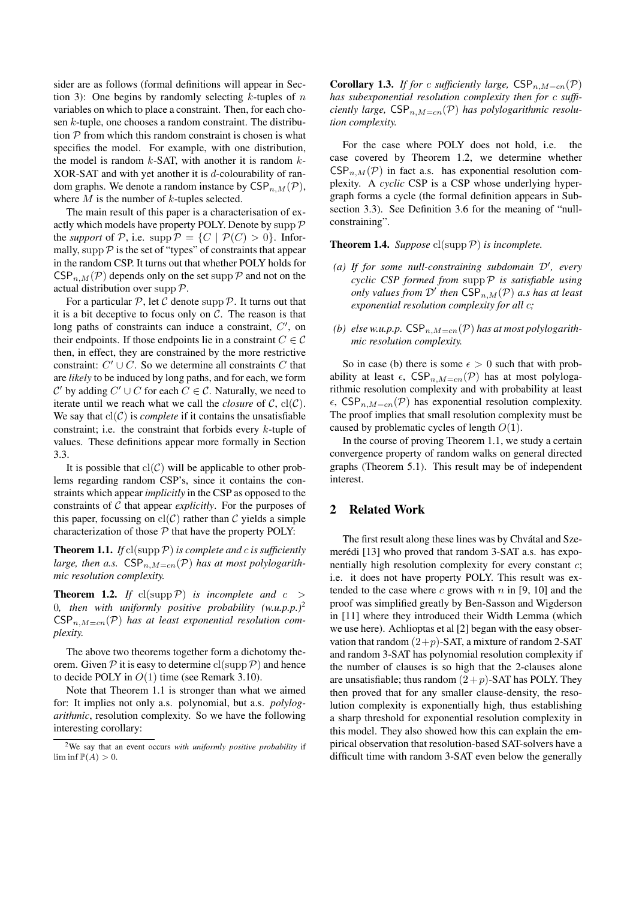sider are as follows (formal definitions will appear in Section 3): One begins by randomly selecting  $k$ -tuples of  $n$ variables on which to place a constraint. Then, for each chosen k-tuple, one chooses a random constraint. The distribution  $P$  from which this random constraint is chosen is what specifies the model. For example, with one distribution, the model is random  $k$ -SAT, with another it is random  $k$ -XOR-SAT and with yet another it is d-colourability of random graphs. We denote a random instance by  $CSP_{n,M}(\mathcal{P}),$ where  $M$  is the number of  $k$ -tuples selected.

The main result of this paper is a characterisation of exactly which models have property POLY. Denote by supp  $\mathcal P$ the *support* of P, i.e. supp  $P = \{C \mid P(C) > 0\}$ . Informally, supp  $P$  is the set of "types" of constraints that appear in the random CSP. It turns out that whether POLY holds for  $CSP_{n,M}(\mathcal{P})$  depends only on the set supp  $\mathcal P$  and not on the actual distribution over supp  $\mathcal{P}$ .

For a particular  $P$ , let C denote supp P. It turns out that it is a bit deceptive to focus only on  $C$ . The reason is that long paths of constraints can induce a constraint,  $C'$ , on their endpoints. If those endpoints lie in a constraint  $C \in \mathcal{C}$ then, in effect, they are constrained by the more restrictive constraint:  $C' \cup C$ . So we determine all constraints C that are *likely* to be induced by long paths, and for each, we form C' by adding  $C' \cup C$  for each  $C \in \mathcal{C}$ . Naturally, we need to iterate until we reach what we call the *closure* of  $C$ ,  $cl(C)$ . We say that  $cl(C)$  is *complete* if it contains the unsatisfiable constraint; i.e. the constraint that forbids every  $k$ -tuple of values. These definitions appear more formally in Section 3.3.

It is possible that  $cl(C)$  will be applicable to other problems regarding random CSP's, since it contains the constraints which appear *implicitly* in the CSP as opposed to the constraints of C that appear *explicitly*. For the purposes of this paper, focussing on  $cl(C)$  rather than C yields a simple characterization of those  $P$  that have the property POLY:

**Theorem 1.1.** *If*  $cl(supp \mathcal{P})$  *is complete and c is sufficiently large, then a.s.*  $CSP_{n,M=cn}(\mathcal{P})$  *has at most polylogarithmic resolution complexity.*

**Theorem 1.2.** *If* cl(supp  $\mathcal{P}$ ) *is incomplete and*  $c$  > 0*, then with uniformly positive probability (w.u.p.p.)*<sup>2</sup>  $CSP_{n,M=cn}(\mathcal{P})$  has at least exponential resolution com*plexity.*

The above two theorems together form a dichotomy theorem. Given  $\mathcal P$  it is easy to determine cl(supp  $\mathcal P$ ) and hence to decide POLY in  $O(1)$  time (see Remark 3.10).

Note that Theorem 1.1 is stronger than what we aimed for: It implies not only a.s. polynomial, but a.s. *polylogarithmic*, resolution complexity. So we have the following interesting corollary:

**Corollary 1.3.** *If for* c *sufficiently large*,  $CSP_{n,M=cn}(\mathcal{P})$ *has subexponential resolution complexity then for* c *sufficiently large,*  $CSP_{n,M=cn}(\mathcal{P})$  *has polylogarithmic resolution complexity.*

For the case where POLY does not hold, i.e. the case covered by Theorem 1.2, we determine whether  $CSP_{n,M}(\mathcal{P})$  in fact a.s. has exponential resolution complexity. A *cyclic* CSP is a CSP whose underlying hypergraph forms a cycle (the formal definition appears in Subsection 3.3). See Definition 3.6 for the meaning of "nullconstraining".

**Theorem 1.4.** *Suppose*  $cl(supp \mathcal{P})$  *is incomplete.* 

- (a) If for some null-constraining subdomain  $\mathcal{D}'$ , every *cyclic CSP formed from* suppP *is satisfiable using only values from*  $\mathcal{D}'$  then  $\textsf{CSP}_{n,M}(\mathcal{P})$  *a.s has at least exponential resolution complexity for all* c*;*
- (b) else w.u.p.p.  $CSP_{n,M=cn}(\mathcal{P})$  *has at most polylogarithmic resolution complexity.*

So in case (b) there is some  $\epsilon > 0$  such that with probability at least  $\epsilon$ , CSP<sub>n,M=cn</sub>(P) has at most polylogarithmic resolution complexity and with probability at least  $\epsilon$ , CSP<sub>n,M=cn</sub>( $\mathcal{P}$ ) has exponential resolution complexity. The proof implies that small resolution complexity must be caused by problematic cycles of length  $O(1)$ .

In the course of proving Theorem 1.1, we study a certain convergence property of random walks on general directed graphs (Theorem 5.1). This result may be of independent interest.

## 2 Related Work

The first result along these lines was by Chvátal and Szemerédi [13] who proved that random 3-SAT a.s. has exponentially high resolution complexity for every constant c; i.e. it does not have property POLY. This result was extended to the case where  $c$  grows with  $n$  in [9, 10] and the proof was simplified greatly by Ben-Sasson and Wigderson in [11] where they introduced their Width Lemma (which we use here). Achlioptas et al [2] began with the easy observation that random  $(2+p)$ -SAT, a mixture of random 2-SAT and random 3-SAT has polynomial resolution complexity if the number of clauses is so high that the 2-clauses alone are unsatisfiable; thus random  $(2+p)$ -SAT has POLY. They then proved that for any smaller clause-density, the resolution complexity is exponentially high, thus establishing a sharp threshold for exponential resolution complexity in this model. They also showed how this can explain the empirical observation that resolution-based SAT-solvers have a difficult time with random 3-SAT even below the generally

<sup>2</sup>We say that an event occurs *with uniformly positive probability* if  $\liminf \mathbb{P}(A) > 0.$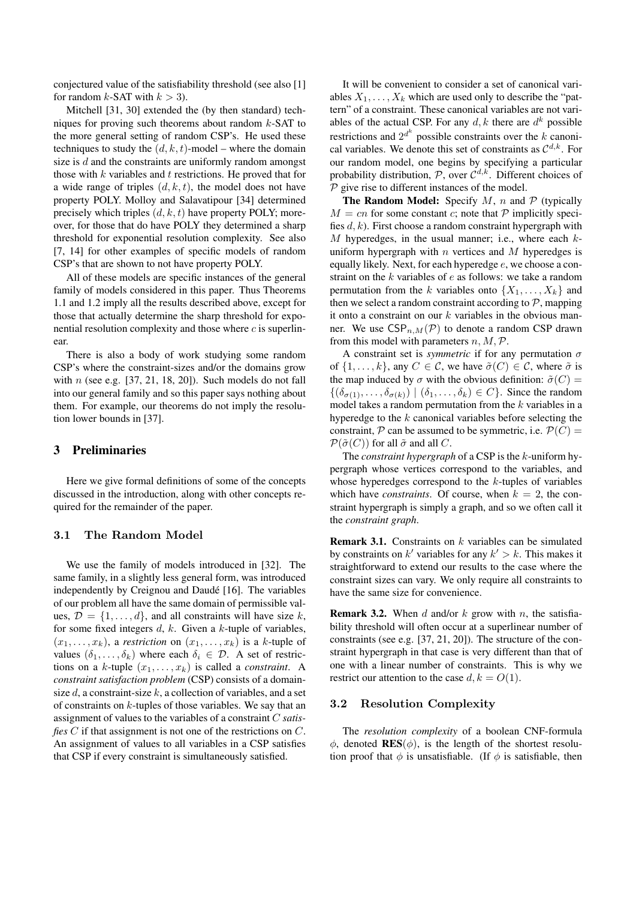conjectured value of the satisfiability threshold (see also [1] for random  $k$ -SAT with  $k > 3$ ).

Mitchell [31, 30] extended the (by then standard) techniques for proving such theorems about random  $k$ -SAT to the more general setting of random CSP's. He used these techniques to study the  $(d, k, t)$ -model – where the domain size is d and the constraints are uniformly random amongst those with  $k$  variables and  $t$  restrictions. He proved that for a wide range of triples  $(d, k, t)$ , the model does not have property POLY. Molloy and Salavatipour [34] determined precisely which triples  $(d, k, t)$  have property POLY; moreover, for those that do have POLY they determined a sharp threshold for exponential resolution complexity. See also [7, 14] for other examples of specific models of random CSP's that are shown to not have property POLY.

All of these models are specific instances of the general family of models considered in this paper. Thus Theorems 1.1 and 1.2 imply all the results described above, except for those that actually determine the sharp threshold for exponential resolution complexity and those where  $c$  is superlinear.

There is also a body of work studying some random CSP's where the constraint-sizes and/or the domains grow with  $n$  (see e.g. [37, 21, 18, 20]). Such models do not fall into our general family and so this paper says nothing about them. For example, our theorems do not imply the resolution lower bounds in [37].

# 3 Preliminaries

Here we give formal definitions of some of the concepts discussed in the introduction, along with other concepts required for the remainder of the paper.

### 3.1 The Random Model

We use the family of models introduced in [32]. The same family, in a slightly less general form, was introduced independently by Creignou and Daudé [16]. The variables of our problem all have the same domain of permissible values,  $\mathcal{D} = \{1, \ldots, d\}$ , and all constraints will have size k, for some fixed integers  $d, k$ . Given a  $k$ -tuple of variables,  $(x_1, \ldots, x_k)$ , a *restriction* on  $(x_1, \ldots, x_k)$  is a *k*-tuple of values  $(\delta_1, \ldots, \delta_k)$  where each  $\delta_i \in \mathcal{D}$ . A set of restrictions on a *k*-tuple  $(x_1, \ldots, x_k)$  is called a *constraint*. A *constraint satisfaction problem* (CSP) consists of a domainsize  $d$ , a constraint-size  $k$ , a collection of variables, and a set of constraints on  $k$ -tuples of those variables. We say that an assignment of values to the variables of a constraint C *satisfies* C if that assignment is not one of the restrictions on C. An assignment of values to all variables in a CSP satisfies that CSP if every constraint is simultaneously satisfied.

It will be convenient to consider a set of canonical variables  $X_1, \ldots, X_k$  which are used only to describe the "pattern" of a constraint. These canonical variables are not variables of the actual CSP. For any  $d, k$  there are  $d^k$  possible restrictions and  $2^{d^k}$  possible constraints over the k canonical variables. We denote this set of constraints as  $\mathcal{C}^{d,k}$ . For our random model, one begins by specifying a particular probability distribution,  $P$ , over  $C^{d,k}$ . Different choices of  $P$  give rise to different instances of the model.

**The Random Model:** Specify M, n and  $P$  (typically  $M = cn$  for some constant c; note that P implicitly specifies  $d, k$ ). First choose a random constraint hypergraph with  $M$  hyperedges, in the usual manner; i.e., where each  $k$ uniform hypergraph with  $n$  vertices and  $M$  hyperedges is equally likely. Next, for each hyperedge  $e$ , we choose a constraint on the  $k$  variables of  $e$  as follows: we take a random permutation from the k variables onto  $\{X_1, \ldots, X_k\}$  and then we select a random constraint according to  $P$ , mapping it onto a constraint on our  $k$  variables in the obvious manner. We use  $CSP_{n,M}(\mathcal{P})$  to denote a random CSP drawn from this model with parameters  $n, M, P$ .

A constraint set is *symmetric* if for any permutation  $\sigma$ of  $\{1, \ldots, k\}$ , any  $C \in \mathcal{C}$ , we have  $\tilde{\sigma}(C) \in \mathcal{C}$ , where  $\tilde{\sigma}$  is the map induced by  $\sigma$  with the obvious definition:  $\tilde{\sigma}(C)$  =  $\{(\delta_{\sigma(1)}, \ldots, \delta_{\sigma(k)}) \mid (\delta_1, \ldots, \delta_k) \in C\}$ . Since the random model takes a random permutation from the  $k$  variables in a hyperedge to the  $k$  canonical variables before selecting the constraint, P can be assumed to be symmetric, i.e.  $\mathcal{P}(C) =$  $\mathcal{P}(\tilde{\sigma}(C))$  for all  $\tilde{\sigma}$  and all C.

The *constraint hypergraph* of a CSP is the k-uniform hypergraph whose vertices correspond to the variables, and whose hyperedges correspond to the  $k$ -tuples of variables which have *constraints*. Of course, when  $k = 2$ , the constraint hypergraph is simply a graph, and so we often call it the *constraint graph*.

**Remark 3.1.** Constraints on  $k$  variables can be simulated by constraints on  $k'$  variables for any  $k' > k$ . This makes it straightforward to extend our results to the case where the constraint sizes can vary. We only require all constraints to have the same size for convenience.

**Remark 3.2.** When d and/or k grow with n, the satisfiability threshold will often occur at a superlinear number of constraints (see e.g. [37, 21, 20]). The structure of the constraint hypergraph in that case is very different than that of one with a linear number of constraints. This is why we restrict our attention to the case  $d, k = O(1)$ .

#### 3.2 Resolution Complexity

The *resolution complexity* of a boolean CNF-formula  $φ$ , denoted **RES**( $φ$ ), is the length of the shortest resolution proof that  $\phi$  is unsatisfiable. (If  $\phi$  is satisfiable, then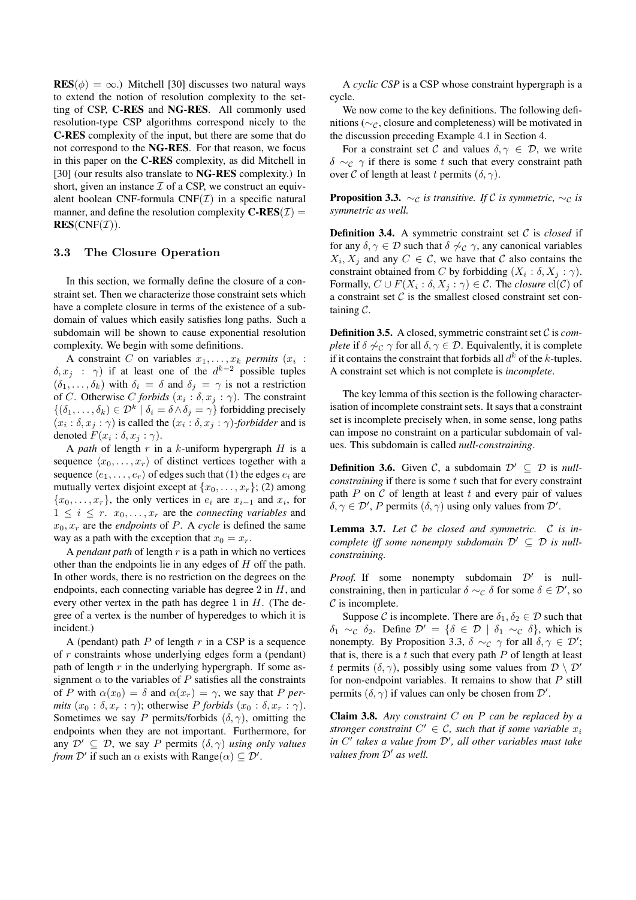$RES(\phi) = \infty$ .) Mitchell [30] discusses two natural ways to extend the notion of resolution complexity to the setting of CSP, C-RES and NG-RES. All commonly used resolution-type CSP algorithms correspond nicely to the C-RES complexity of the input, but there are some that do not correspond to the NG-RES. For that reason, we focus in this paper on the C-RES complexity, as did Mitchell in [30] (our results also translate to NG-RES complexity.) In short, given an instance  $\mathcal I$  of a CSP, we construct an equivalent boolean CNF-formula  $CNF(\mathcal{I})$  in a specific natural manner, and define the resolution complexity  $\mathbf{C}\text{-}\mathbf{RES}(\mathcal{I}) =$  $RES(CNF(\mathcal{I}))$ .

## 3.3 The Closure Operation

In this section, we formally define the closure of a constraint set. Then we characterize those constraint sets which have a complete closure in terms of the existence of a subdomain of values which easily satisfies long paths. Such a subdomain will be shown to cause exponential resolution complexity. We begin with some definitions.

A constraint C on variables  $x_1, \ldots, x_k$  *permits*  $(x_i)$ :  $\delta, x_j$  :  $\gamma$ ) if at least one of the  $d^{k-2}$  possible tuples  $(\delta_1, \ldots, \delta_k)$  with  $\delta_i = \delta$  and  $\delta_j = \gamma$  is not a restriction of *C*. Otherwise *C* forbids  $(x_i : \delta, x_j : \gamma)$ . The constraint  $\{(\delta_1,\ldots,\delta_k)\in\mathcal{D}^k\mid \delta_i=\delta\wedge \delta_j=\gamma\}$  forbidding precisely  $(x_i : \delta, x_j : \gamma)$  is called the  $(x_i : \delta, x_j : \gamma)$ *-forbidder* and is denoted  $F(x_i : \delta, x_j : \gamma)$ .

A *path* of length r in a k-uniform hypergraph H is a sequence  $\langle x_0, \ldots, x_r \rangle$  of distinct vertices together with a sequence  $\langle e_1, \ldots, e_r \rangle$  of edges such that (1) the edges  $e_i$  are mutually vertex disjoint except at  $\{x_0, \ldots, x_r\}$ ; (2) among  $\{x_0, \ldots, x_r\}$ , the only vertices in  $e_i$  are  $x_{i-1}$  and  $x_i$ , for  $1 \leq i \leq r$ .  $x_0, \ldots, x_r$  are the *connecting variables* and  $x_0, x_r$  are the *endpoints* of P. A *cycle* is defined the same way as a path with the exception that  $x_0 = x_r$ .

A *pendant path* of length r is a path in which no vertices other than the endpoints lie in any edges of H off the path. In other words, there is no restriction on the degrees on the endpoints, each connecting variable has degree  $2$  in  $H$ , and every other vertex in the path has degree 1 in  $H$ . (The degree of a vertex is the number of hyperedges to which it is incident.)

A (pendant) path  $P$  of length  $r$  in a CSP is a sequence of r constraints whose underlying edges form a (pendant) path of length  $r$  in the underlying hypergraph. If some assignment  $\alpha$  to the variables of P satisfies all the constraints of P with  $\alpha(x_0) = \delta$  and  $\alpha(x_r) = \gamma$ , we say that P per*mits*  $(x_0 : \delta, x_r : \gamma)$ ; otherwise *P forbids*  $(x_0 : \delta, x_r : \gamma)$ . Sometimes we say P permits/forbids  $(\delta, \gamma)$ , omitting the endpoints when they are not important. Furthermore, for any  $\mathcal{D}' \subseteq \mathcal{D}$ , we say P permits  $(\delta, \gamma)$  *using only values from*  $\mathcal{D}'$  if such an  $\alpha$  exists with Range $(\alpha) \subseteq \mathcal{D}'$ .

A *cyclic CSP* is a CSP whose constraint hypergraph is a cycle.

We now come to the key definitions. The following definitions ( $\sim$ <sub>C</sub>, closure and completeness) will be motivated in the discussion preceding Example 4.1 in Section 4.

For a constraint set C and values  $\delta, \gamma \in \mathcal{D}$ , we write  $\delta \sim_c \gamma$  if there is some t such that every constraint path over C of length at least t permits  $(\delta, \gamma)$ .

**Proposition 3.3.**  $\sim_c$  *is transitive. If* C *is symmetric,*  $\sim_c$  *is symmetric as well.*

Definition 3.4. A symmetric constraint set C is *closed* if for any  $\delta, \gamma \in \mathcal{D}$  such that  $\delta \not\sim_{\mathcal{C}} \gamma$ , any canonical variables  $X_i, X_j$  and any  $C \in \mathcal{C}$ , we have that  $\mathcal C$  also contains the constraint obtained from C by forbidding  $(X_i : \delta, X_j : \gamma)$ . Formally,  $C \cup F(X_i : \delta, X_j : \gamma) \in \mathcal{C}$ . The *closure*  $\text{cl}(\mathcal{C})$  of a constraint set  $C$  is the smallest closed constraint set containing C.

Definition 3.5. A closed, symmetric constraint set C is *complete* if  $\delta \nless c \gamma$  for all  $\delta, \gamma \in \mathcal{D}$ . Equivalently, it is complete if it contains the constraint that forbids all  $d^k$  of the k-tuples. A constraint set which is not complete is *incomplete*.

The key lemma of this section is the following characterisation of incomplete constraint sets. It says that a constraint set is incomplete precisely when, in some sense, long paths can impose no constraint on a particular subdomain of values. This subdomain is called *null-constraining*.

**Definition 3.6.** Given C, a subdomain  $\mathcal{D}' \subset \mathcal{D}$  is *nullconstraining* if there is some t such that for every constraint path  $P$  on  $C$  of length at least  $t$  and every pair of values  $\delta, \gamma \in \mathcal{D}'$ , P permits  $(\delta, \gamma)$  using only values from  $\mathcal{D}'$ .

Lemma 3.7. *Let* C *be closed and symmetric.* C *is incomplete iff some nonempty subdomain*  $\mathcal{D}' \subseteq \mathcal{D}$  *is nullconstraining.*

*Proof.* If some nonempty subdomain  $\mathcal{D}'$  is nullconstraining, then in particular  $\delta \sim_{\mathcal{C}} \delta$  for some  $\delta \in \mathcal{D}'$ , so  $\mathcal C$  is incomplete.

Suppose C is incomplete. There are  $\delta_1, \delta_2 \in \mathcal{D}$  such that  $\delta_1 \sim_c \delta_2$ . Define  $\mathcal{D}' = {\delta \in \mathcal{D} \mid \delta_1 \sim_c \delta}$ , which is nonempty. By Proposition 3.3,  $\delta \sim_{\mathcal{C}} \gamma$  for all  $\delta, \gamma \in \mathcal{D}'$ ; that is, there is a  $t$  such that every path  $P$  of length at least t permits  $(\delta, \gamma)$ , possibly using some values from  $\mathcal{D} \setminus \mathcal{D}'$ for non-endpoint variables. It remains to show that  $P$  still permits  $(\delta, \gamma)$  if values can only be chosen from  $\mathcal{D}'$ .

Claim 3.8. *Any constraint* C *on* P *can be replaced by a stronger constraint*  $C' \in \mathcal{C}$ *, such that if some variable*  $x_i$ in C' takes a value from D', all other variables must take *values from*  $D'$  *as well.*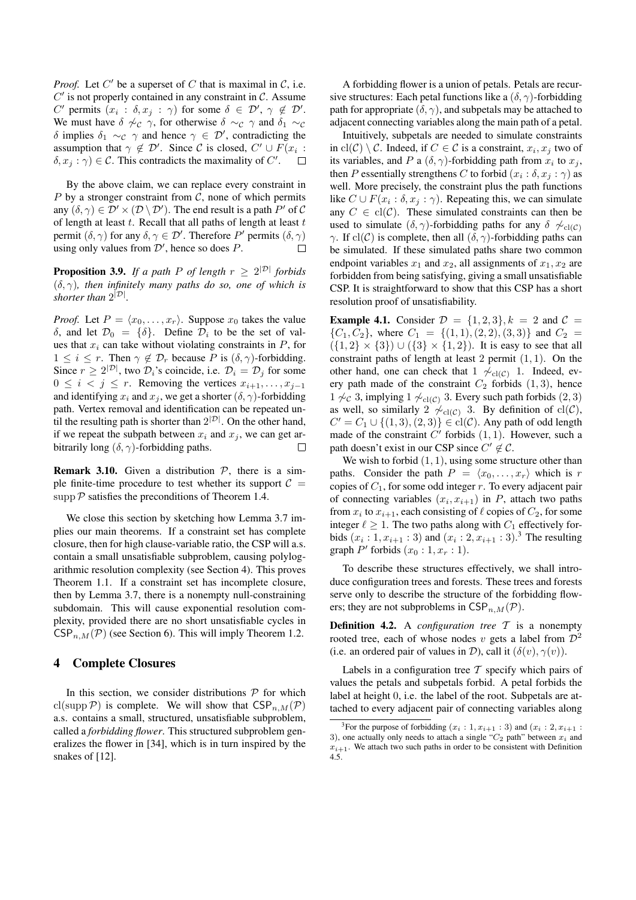*Proof.* Let  $C'$  be a superset of  $C$  that is maximal in  $C$ , i.e.  $C'$  is not properly contained in any constraint in  $C$ . Assume C' permits  $(x_i : \delta, x_j : \gamma)$  for some  $\delta \in \mathcal{D}'$ ,  $\gamma \notin \mathcal{D}'$ . We must have  $\delta \nsim_c \gamma$ , for otherwise  $\delta \sim_c \gamma$  and  $\delta_1 \sim_c \gamma$ δ implies  $\delta_1 \sim_c \gamma$  and hence  $\gamma \in \mathcal{D}'$ , contradicting the assumption that  $\gamma \notin \mathcal{D}'$ . Since C is closed,  $C' \cup F(x_i)$ :  $\delta, x_j : \gamma$   $\in \mathcal{C}$ . This contradicts the maximality of  $C'$ .  $\Box$ 

By the above claim, we can replace every constraint in P by a stronger constraint from  $C$ , none of which permits any  $(\delta, \gamma) \in \mathcal{D}' \times (\mathcal{D} \setminus \mathcal{D}')$ . The end result is a path  $P'$  of  $\mathcal{C}$ of length at least  $t$ . Recall that all paths of length at least  $t$ permit  $(\delta, \gamma)$  for any  $\delta, \gamma \in \mathcal{D}'$ . Therefore P' permits  $(\delta, \gamma)$ using only values from  $\mathcal{D}'$ , hence so does  $P$ .  $\Box$ 

**Proposition 3.9.** If a path P of length  $r \geq 2^{|D|}$  forbids (δ, γ)*, then infinitely many paths do so, one of which is shorter than*  $2^{|\mathcal{D}|}$ *.* 

*Proof.* Let  $P = \langle x_0, \ldots, x_r \rangle$ . Suppose  $x_0$  takes the value δ, and let  $\mathcal{D}_0 = {\delta}$ . Define  $\mathcal{D}_i$  to be the set of values that  $x_i$  can take without violating constraints in  $P$ , for  $1 \leq i \leq r$ . Then  $\gamma \notin \mathcal{D}_r$  because P is  $(\delta, \gamma)$ -forbidding. Since  $r \geq 2^{|\mathcal{D}|}$ , two  $\mathcal{D}_i$ 's coincide, i.e.  $\mathcal{D}_i = \mathcal{D}_j$  for some  $0 \leq i \leq j \leq r$ . Removing the vertices  $x_{i+1}, \ldots, x_{j-1}$ and identifying  $x_i$  and  $x_j$ , we get a shorter  $(\delta, \gamma)$ -forbidding path. Vertex removal and identification can be repeated until the resulting path is shorter than  $2^{|\mathcal{D}|}$ . On the other hand, if we repeat the subpath between  $x_i$  and  $x_j$ , we can get arbitrarily long  $(\delta, \gamma)$ -forbidding paths.  $\Box$ 

**Remark 3.10.** Given a distribution  $P$ , there is a simple finite-time procedure to test whether its support  $C =$ supp  $P$  satisfies the preconditions of Theorem 1.4.

We close this section by sketching how Lemma 3.7 implies our main theorems. If a constraint set has complete closure, then for high clause-variable ratio, the CSP will a.s. contain a small unsatisfiable subproblem, causing polylogarithmic resolution complexity (see Section 4). This proves Theorem 1.1. If a constraint set has incomplete closure, then by Lemma 3.7, there is a nonempty null-constraining subdomain. This will cause exponential resolution complexity, provided there are no short unsatisfiable cycles in  $CSP_{n,M}(\mathcal{P})$  (see Section 6). This will imply Theorem 1.2.

## 4 Complete Closures

In this section, we consider distributions  $P$  for which cl(supp  $P$ ) is complete. We will show that  $CSP_{n,M}(P)$ a.s. contains a small, structured, unsatisfiable subproblem, called a *forbidding flower*. This structured subproblem generalizes the flower in [34], which is in turn inspired by the snakes of [12].

A forbidding flower is a union of petals. Petals are recursive structures: Each petal functions like a  $(\delta, \gamma)$ -forbidding path for appropriate  $(\delta, \gamma)$ , and subpetals may be attached to adjacent connecting variables along the main path of a petal.

Intuitively, subpetals are needed to simulate constraints in  $\text{cl}(\mathcal{C}) \setminus \mathcal{C}$ . Indeed, if  $C \in \mathcal{C}$  is a constraint,  $x_i, x_j$  two of its variables, and P a  $(\delta, \gamma)$ -forbidding path from  $x_i$  to  $x_j$ , then P essentially strengthens C to forbid  $(x_i : \delta, x_j : \gamma)$  as well. More precisely, the constraint plus the path functions like  $C \cup F(x_i : \delta, x_j : \gamma)$ . Repeating this, we can simulate any  $C \in \text{cl}(\mathcal{C})$ . These simulated constraints can then be used to simulate  $(\delta, \gamma)$ -forbidding paths for any  $\delta \nsim_{\text{cl}(C)}$  $\gamma$ . If cl(C) is complete, then all  $(\delta, \gamma)$ -forbidding paths can be simulated. If these simulated paths share two common endpoint variables  $x_1$  and  $x_2$ , all assignments of  $x_1, x_2$  are forbidden from being satisfying, giving a small unsatisfiable CSP. It is straightforward to show that this CSP has a short resolution proof of unsatisfiability.

**Example 4.1.** Consider  $\mathcal{D} = \{1, 2, 3\}, k = 2$  and  $\mathcal{C} =$  ${C_1, C_2}$ , where  $C_1 = {(1, 1), (2, 2), (3, 3)}$  and  $C_2$  $({1, 2} \times {3}) \cup ({3} \times {1, 2})$ . It is easy to see that all constraint paths of length at least 2 permit  $(1, 1)$ . On the other hand, one can check that 1  $\sim_{\text{cl}(C)} 1$ . Indeed, every path made of the constraint  $C_2$  forbids  $(1, 3)$ , hence 1  $\neq$  ∂, implying 1  $\neq$ <sub>cl( $C$ )</sub> 3. Every such path forbids (2, 3) as well, so similarly 2  $\phi_{\text{cl}(C)}$  3. By definition of cl(C),  $C' = C_1 \cup \{(1,3), (2,3)\} \in \text{cl}(\mathcal{C})$ . Any path of odd length made of the constraint  $C'$  forbids  $(1, 1)$ . However, such a path doesn't exist in our CSP since  $C' \notin \mathcal{C}$ .

We wish to forbid  $(1, 1)$ , using some structure other than paths. Consider the path  $P = \langle x_0, \ldots, x_r \rangle$  which is r copies of  $C_1$ , for some odd integer r. To every adjacent pair of connecting variables  $(x_i, x_{i+1})$  in P, attach two paths from  $x_i$  to  $x_{i+1}$ , each consisting of  $\ell$  copies of  $C_2$ , for some integer  $\ell \geq 1$ . The two paths along with  $C_1$  effectively forbids  $(x_i : 1, x_{i+1} : 3)$  and  $(x_i : 2, x_{i+1} : 3)$ .<sup>3</sup> The resulting graph  $P'$  forbids  $(x_0:1, x_r:1)$ .

To describe these structures effectively, we shall introduce configuration trees and forests. These trees and forests serve only to describe the structure of the forbidding flowers; they are not subproblems in  $CSP_{n,M}(\mathcal{P})$ .

**Definition 4.2.** A *configuration tree*  $\mathcal{T}$  is a nonempty rooted tree, each of whose nodes v gets a label from  $\mathcal{D}^2$ (i.e. an ordered pair of values in D), call it  $(\delta(v), \gamma(v))$ .

Labels in a configuration tree  $T$  specify which pairs of values the petals and subpetals forbid. A petal forbids the label at height 0, i.e. the label of the root. Subpetals are attached to every adjacent pair of connecting variables along

<sup>&</sup>lt;sup>3</sup>For the purpose of forbidding  $(x_i : 1, x_{i+1} : 3)$  and  $(x_i : 2, x_{i+1} : 3)$ 3), one actually only needs to attach a single " $C_2$  path" between  $x_i$  and  $x_{i+1}$ . We attach two such paths in order to be consistent with Definition 4.5.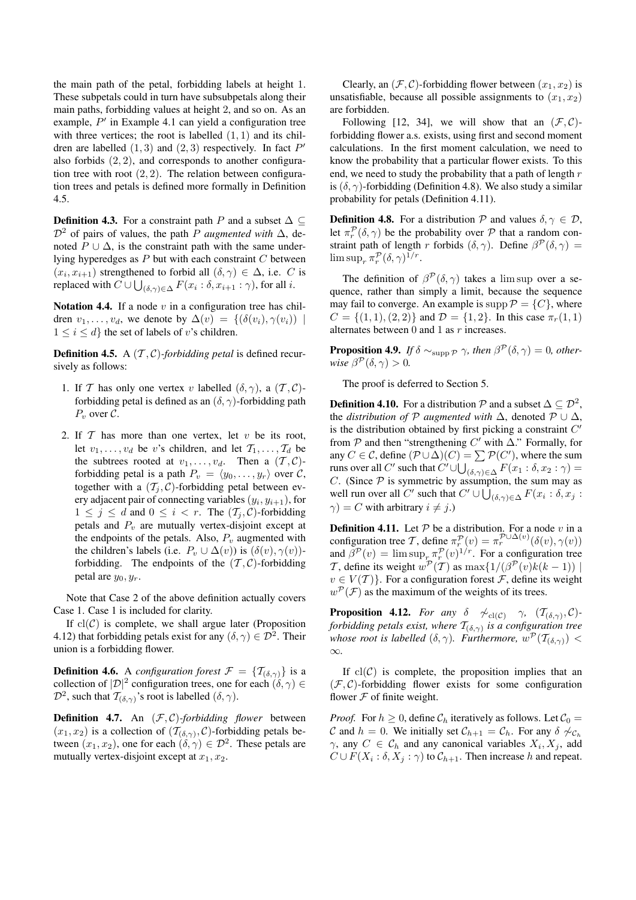the main path of the petal, forbidding labels at height 1. These subpetals could in turn have subsubpetals along their main paths, forbidding values at height 2, and so on. As an example,  $P'$  in Example 4.1 can yield a configuration tree with three vertices; the root is labelled  $(1, 1)$  and its children are labelled  $(1,3)$  and  $(2,3)$  respectively. In fact  $P'$ also forbids (2, 2), and corresponds to another configuration tree with root  $(2, 2)$ . The relation between configuration trees and petals is defined more formally in Definition 4.5.

**Definition 4.3.** For a constraint path P and a subset  $\Delta \subseteq$  $\mathcal{D}^2$  of pairs of values, the path P *augmented with*  $\Delta$ , denoted  $P \cup \Delta$ , is the constraint path with the same underlying hyperedges as  $P$  but with each constraint  $C$  between  $(x_i, x_{i+1})$  strengthened to forbid all  $(\delta, \gamma) \in \Delta$ , i.e. C is replaced with  $C \cup \bigcup_{(\delta,\gamma)\in\Delta} F(x_i : \delta, x_{i+1} : \gamma)$ , for all *i*.

Notation 4.4. If a node  $v$  in a configuration tree has children  $v_1, \ldots, v_d$ , we denote by  $\Delta(v) = \{(\delta(v_i), \gamma(v_i)) \mid$  $1 \leq i \leq d$  the set of labels of v's children.

**Definition 4.5.** A  $(\mathcal{T}, \mathcal{C})$ -forbidding petal is defined recursively as follows:

- 1. If T has only one vertex v labelled  $(\delta, \gamma)$ , a  $(\mathcal{T}, \mathcal{C})$ forbidding petal is defined as an  $(\delta, \gamma)$ -forbidding path  $P_v$  over  $\mathcal{C}$ .
- 2. If  $T$  has more than one vertex, let  $v$  be its root, let  $v_1, \ldots, v_d$  be v's children, and let  $\mathcal{T}_1, \ldots, \mathcal{T}_d$  be the subtrees rooted at  $v_1, \ldots, v_d$ . Then a  $(\mathcal{T}, \mathcal{C})$ forbidding petal is a path  $P_v = \langle y_0, \ldots, y_r \rangle$  over C, together with a  $(\mathcal{T}_i, \mathcal{C})$ -forbidding petal between every adjacent pair of connecting variables  $(y_i, y_{i+1})$ , for  $1 \leq j \leq d$  and  $0 \leq i < r$ . The  $(\mathcal{T}_j, \mathcal{C})$ -forbidding petals and  $P_v$  are mutually vertex-disjoint except at the endpoints of the petals. Also,  $P_v$  augmented with the children's labels (i.e.  $P_v \cup \Delta(v)$ ) is  $(\delta(v), \gamma(v))$ forbidding. The endpoints of the  $(\mathcal{T}, \mathcal{C})$ -forbidding petal are  $y_0, y_r$ .

Note that Case 2 of the above definition actually covers Case 1. Case 1 is included for clarity.

If  $cl(C)$  is complete, we shall argue later (Proposition 4.12) that forbidding petals exist for any  $(\delta, \gamma) \in \mathcal{D}^2$ . Their union is a forbidding flower.

**Definition 4.6.** A *configuration forest*  $\mathcal{F} = {\mathcal{T}_{(\delta,\gamma)}}$  is a collection of  $|\mathcal{D}|^2$  configuration trees, one for each  $(\delta, \gamma) \in$  $\mathcal{D}^2$ , such that  $\mathcal{T}_{(\delta,\gamma)}$ 's root is labelled  $(\delta,\gamma)$ .

Definition 4.7. An  $(F, C)$ -forbidding flower between  $(x_1, x_2)$  is a collection of  $(\mathcal{T}_{(\delta,\gamma)}, \mathcal{C})$ -forbidding petals between  $(x_1, x_2)$ , one for each  $(\delta, \gamma) \in \mathcal{D}^2$ . These petals are mutually vertex-disjoint except at  $x_1, x_2$ .

Clearly, an  $(\mathcal{F}, \mathcal{C})$ -forbidding flower between  $(x_1, x_2)$  is unsatisfiable, because all possible assignments to  $(x_1, x_2)$ are forbidden.

Following [12, 34], we will show that an  $(\mathcal{F}, \mathcal{C})$ forbidding flower a.s. exists, using first and second moment calculations. In the first moment calculation, we need to know the probability that a particular flower exists. To this end, we need to study the probability that a path of length  $r$ is  $(\delta, \gamma)$ -forbidding (Definition 4.8). We also study a similar probability for petals (Definition 4.11).

**Definition 4.8.** For a distribution P and values  $\delta, \gamma \in \mathcal{D}$ , let  $\pi_r^{\mathcal{P}}(\delta, \gamma)$  be the probability over  $\mathcal P$  that a random constraint path of length r forbids  $(\delta, \gamma)$ . Define  $\beta^{\mathcal{P}}(\delta, \gamma)$  $\limsup_{r} \pi_r^{\mathcal{P}}(\delta, \gamma)^{1/r}.$ 

The definition of  $\beta^{\mathcal{P}}(\delta, \gamma)$  takes a lim sup over a sequence, rather than simply a limit, because the sequence may fail to converge. An example is supp  $\mathcal{P} = \{C\}$ , where  $C = \{(1, 1), (2, 2)\}\$ and  $\mathcal{D} = \{1, 2\}\$ . In this case  $\pi_r(1, 1)$ alternates between  $0$  and  $1$  as  $r$  increases.

**Proposition 4.9.** *If*  $\delta \sim_{\text{supp } P} \gamma$ *, then*  $\beta^P(\delta, \gamma) = 0$ *, otherwise*  $\beta^{\mathcal{P}}(\delta, \gamma) > 0$ .

The proof is deferred to Section 5.

**Definition 4.10.** For a distribution  $\mathcal{P}$  and a subset  $\Delta \subseteq \mathcal{D}^2$ , the *distribution of*  $P$  *augmented with*  $\Delta$ , denoted  $P \cup \Delta$ , is the distribution obtained by first picking a constraint  $C'$ from  $P$  and then "strengthening  $C'$  with  $\Delta$ ." Formally, for any  $C \in \mathcal{C}$ , define  $(\mathcal{P} \cup \Delta)(C) = \sum \mathcal{P}(C')$ , where the sum runs over all C' such that  $C' \cup \bigcup_{(\delta,\gamma)\in\Delta} F(x_1 : \delta, x_2 : \gamma) =$ C. (Since  $P$  is symmetric by assumption, the sum may as well run over all C' such that  $C' \cup \bigcup_{(\delta,\gamma) \in \Delta} F(x_i : \delta, x_j)$ :  $\gamma$ ) = C with arbitrary  $i \neq j$ .)

**Definition 4.11.** Let  $P$  be a distribution. For a node v in a configuration tree T, define  $\pi_r^{\mathcal{P}}(v) = \pi_r^{\mathcal{P} \cup \Delta(v)}(\delta(v), \gamma(v))$ and  $\beta^{\mathcal{P}}(v) = \limsup_{r \to \infty} \pi_r^{\mathcal{P}}(v)^{1/r}$ . For a configuration tree T, define its weight  $w^{\mathcal{P}}(T)$  as  $\max\{1/(\beta^{\mathcal{P}}(v)k(k-1))\mid$  $v \in V(\mathcal{T})\}$ . For a configuration forest  $\mathcal{F}$ , define its weight  $w^{\mathcal{P}}(\mathcal{F})$  as the maximum of the weights of its trees.

**Proposition 4.12.** *For any*  $\delta \quad \n\sim_{\text{cl}(\mathcal{C})} \quad \gamma, \quad (\mathcal{T}_{(\delta,\gamma)}, \mathcal{C})$ *forbidding petals exist, where* T(δ,γ) *is a configuration tree whose root is labelled*  $(\delta, \gamma)$ *. Furthermore,*  $w^{\mathcal{P}}(\mathcal{T}_{(\delta,\gamma)})$  < ∞*.*

If  $cl(C)$  is complete, the proposition implies that an  $(\mathcal{F}, \mathcal{C})$ -forbidding flower exists for some configuration flower  $F$  of finite weight.

*Proof.* For  $h \geq 0$ , define  $\mathcal{C}_h$  iteratively as follows. Let  $\mathcal{C}_0 =$ C and  $h = 0$ . We initially set  $C_{h+1} = C_h$ . For any  $\delta \nsim_{C_h}$  $\gamma$ , any  $C \in \mathcal{C}_h$  and any canonical variables  $X_i, X_j$ , add  $C \cup F(X_i : \delta, X_j : \gamma)$  to  $C_{h+1}$ . Then increase h and repeat.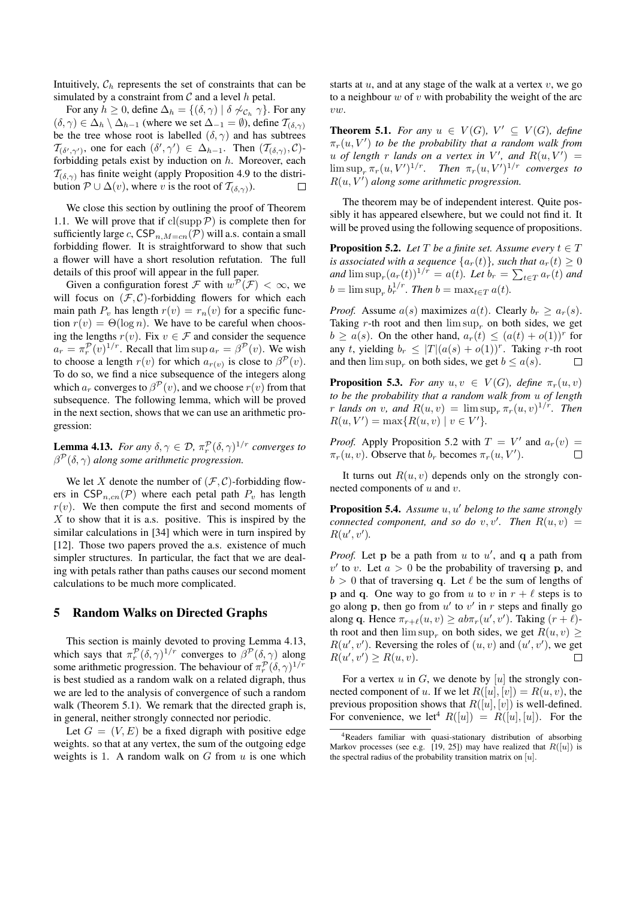Intuitively,  $C_h$  represents the set of constraints that can be simulated by a constraint from  $C$  and a level  $h$  petal.

For any  $h \geq 0$ , define  $\Delta_h = \{(\delta, \gamma) \mid \delta \nsim c_h \gamma\}$ . For any  $(\delta, \gamma) \in \Delta_h \setminus \Delta_{h-1}$  (where we set  $\Delta_{-1} = \emptyset$ ), define  $\mathcal{T}_{(\delta, \gamma)}$ be the tree whose root is labelled  $(\delta, \gamma)$  and has subtrees  $\mathcal{T}_{(\delta',\gamma')}$ , one for each  $(\delta',\gamma') \in \Delta_{h-1}$ . Then  $(\mathcal{T}_{(\delta,\gamma)},\mathcal{C})$ forbidding petals exist by induction on  $h$ . Moreover, each  $\mathcal{T}_{(\delta,\gamma)}$  has finite weight (apply Proposition 4.9 to the distribution  $P \cup \Delta(v)$ , where v is the root of  $\mathcal{T}_{(\delta,\gamma)}$ ).  $\Box$ 

We close this section by outlining the proof of Theorem 1.1. We will prove that if  $cl(supp \mathcal{P})$  is complete then for sufficiently large c,  $CSP_{n,M=cn}(\mathcal{P})$  will a.s. contain a small forbidding flower. It is straightforward to show that such a flower will have a short resolution refutation. The full details of this proof will appear in the full paper.

Given a configuration forest  $\mathcal F$  with  $w^{\mathcal P}(\mathcal F) < \infty$ , we will focus on  $(\mathcal{F}, \mathcal{C})$ -forbidding flowers for which each main path  $P_v$  has length  $r(v) = r_n(v)$  for a specific function  $r(v) = \Theta(\log n)$ . We have to be careful when choosing the lengths  $r(v)$ . Fix  $v \in \mathcal{F}$  and consider the sequence  $a_r = \pi_r^{\mathcal{P}}(v)^{1/r}$ . Recall that  $\limsup a_r = \beta^{\mathcal{P}}(v)$ . We wish to choose a length  $r(v)$  for which  $a_{r(v)}$  is close to  $\beta^{\mathcal{P}}(v)$ . To do so, we find a nice subsequence of the integers along which  $a_r$  converges to  $\beta^{\mathcal{P}}(v)$ , and we choose  $r(v)$  from that subsequence. The following lemma, which will be proved in the next section, shows that we can use an arithmetic progression:

**Lemma 4.13.** *For any*  $\delta, \gamma \in \mathcal{D}$ ,  $\pi_r^{\mathcal{P}}(\delta, \gamma)^{1/r}$  *converges to*  $\beta^{\mathcal{P}}(\delta,\gamma)$  along some arithmetic progression.

We let X denote the number of  $(\mathcal{F}, \mathcal{C})$ -forbidding flowers in  $CSP_{n,cn}(\mathcal{P})$  where each petal path  $P_n$  has length  $r(v)$ . We then compute the first and second moments of  $X$  to show that it is a.s. positive. This is inspired by the similar calculations in [34] which were in turn inspired by [12]. Those two papers proved the a.s. existence of much simpler structures. In particular, the fact that we are dealing with petals rather than paths causes our second moment calculations to be much more complicated.

# 5 Random Walks on Directed Graphs

This section is mainly devoted to proving Lemma 4.13, which says that  $\pi_r^{\mathcal{P}}(\delta, \gamma)^{1/r}$  converges to  $\beta^{\mathcal{P}}(\delta, \gamma)$  along some arithmetic progression. The behaviour of  $\pi_r^{\mathcal{P}}(\delta, \gamma)^{1/r}$ is best studied as a random walk on a related digraph, thus we are led to the analysis of convergence of such a random walk (Theorem 5.1). We remark that the directed graph is, in general, neither strongly connected nor periodic.

Let  $G = (V, E)$  be a fixed digraph with positive edge weights. so that at any vertex, the sum of the outgoing edge weights is 1. A random walk on  $G$  from  $u$  is one which starts at  $u$ , and at any stage of the walk at a vertex  $v$ , we go to a neighbour  $w$  of  $v$  with probability the weight of the arc vw.

**Theorem 5.1.** *For any*  $u \in V(G)$ ,  $V' \subseteq V(G)$ , *define*  $\pi_r(u, V')$  to be the probability that a random walk from  $u$  of length  $r$  lands on a vertex in  $V'$ , and  $R(u, V') =$  $\limsup_{r} \pi_r(u, V')^{1/r}$ . Then  $\pi_r(u, V')^{1/r}$  converges to  $R(u, V')$  along some arithmetic progression.

The theorem may be of independent interest. Quite possibly it has appeared elsewhere, but we could not find it. It will be proved using the following sequence of propositions.

**Proposition 5.2.** *Let*  $T$  *be a finite set. Assume every*  $t \in T$ *is associated with a sequence*  $\{a_r(t)\}\$ *, such that*  $a_r(t) \geq 0$ and  $\limsup_r (a_r(t))^{1/r} = a(t)$ *. Let*  $b_r = \sum_{t \in T} a_r(t)$  and  $b = \limsup_{r} b_r^{1/r}$ . Then  $b = \max_{t \in T} a(t)$ .

*Proof.* Assume  $a(s)$  maximizes  $a(t)$ . Clearly  $b_r > a_r(s)$ . Taking r-th root and then  $\limsup_{r \to \infty}$  on both sides, we get  $b \ge a(s)$ . On the other hand,  $a_r(t) \le (a(t) + o(1))^r$  for any t, yielding  $b_r \leq |T|(a(s) + o(1))^r$ . Taking r-th root and then  $\limsup_{r \to \infty}$  on both sides, we get  $b \leq a(s)$ .  $\Box$ 

**Proposition 5.3.** *For any*  $u, v \in V(G)$ *, define*  $\pi_r(u, v)$ *to be the probability that a random walk from* u *of length r* lands on *v*, and  $R(u, v) = \limsup_{r} \pi_r(u, v)^{1/r}$ . Then  $R(u, V') = \max\{R(u, v) | v \in V'\}.$ 

*Proof.* Apply Proposition 5.2 with  $T = V'$  and  $a_r(v) =$  $\pi_r(u, v)$ . Observe that  $b_r$  becomes  $\pi_r(u, V')$ .  $\Box$ 

It turns out  $R(u, v)$  depends only on the strongly connected components of  $u$  and  $v$ .

**Proposition 5.4.** Assume u, u' belong to the same strongly *connected component, and so do*  $v, v'$ *. Then*  $R(u, v)$  =  $R(u', v').$ 

*Proof.* Let  $p$  be a path from  $u$  to  $u'$ , and  $q$  a path from  $v'$  to v. Let  $a > 0$  be the probability of traversing p, and  $b > 0$  that of traversing q. Let  $\ell$  be the sum of lengths of **p** and **q**. One way to go from u to v in  $r + \ell$  steps is to go along p, then go from  $u'$  to  $v'$  in r steps and finally go along q. Hence  $\pi_{r+\ell}(u, v) \ge ab \pi_r(u', v')$ . Taking  $(r + \ell)$ th root and then  $\limsup_{x \to 0}$  on both sides, we get  $R(u, v) \ge$  $R(u', v')$ . Reversing the roles of  $(u, v)$  and  $(u', v')$ , we get  $R(u', v') \geq R(u, v).$  $\Box$ 

For a vertex  $u$  in  $G$ , we denote by  $[u]$  the strongly connected component of u. If we let  $R([u], [v]) = R(u, v)$ , the previous proposition shows that  $R([u], [v])$  is well-defined. For convenience, we let<sup>4</sup>  $R([u]) = R([u], [u])$ . For the

<sup>4</sup>Readers familiar with quasi-stationary distribution of absorbing Markov processes (see e.g. [19, 25]) may have realized that  $R([u])$  is the spectral radius of the probability transition matrix on  $[u]$ .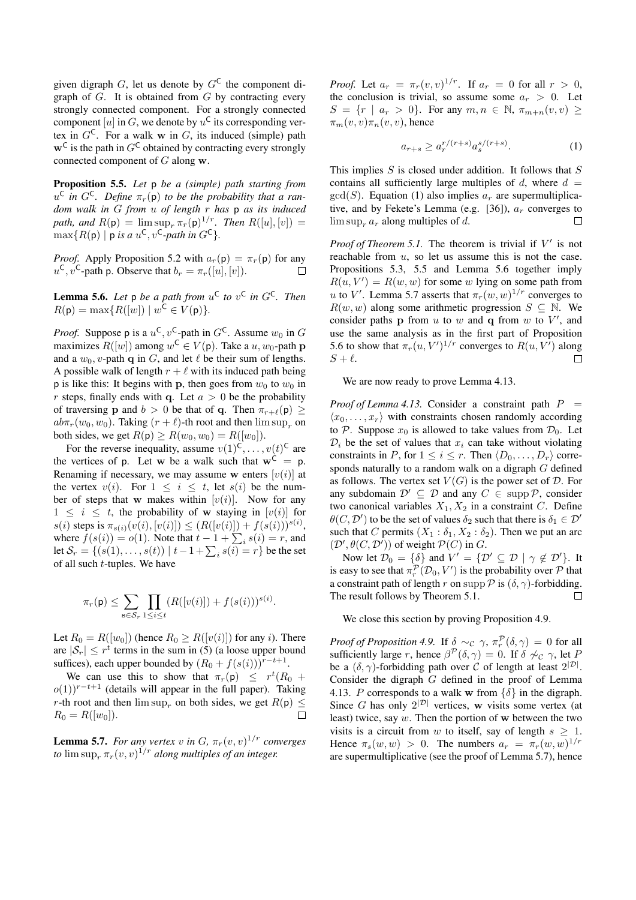given digraph G, let us denote by  $G^{\mathsf{C}}$  the component digraph of  $G$ . It is obtained from  $G$  by contracting every strongly connected component. For a strongly connected component [u] in G, we denote by  $u^C$  its corresponding vertex in  $G^{\mathsf{C}}$ . For a walk w in G, its induced (simple) path  $\mathbf{w}^{\mathsf{C}}$  is the path in  $G^{\mathsf{C}}$  obtained by contracting every strongly connected component of G along w.

Proposition 5.5. *Let* p *be a (simple) path starting from*  $u^{\mathsf{C}}$  in  $G^{\mathsf{C}}$ *. Define*  $\pi_r(\mathsf{p})$  to be the probability that a ran*dom walk in* G *from* u *of length* r *has* p *as its induced path, and*  $R(\mathsf{p}) = \limsup_{r} \pi_r(\mathsf{p})^{1/r}$ . *Then*  $R([u],[v]) =$  $\max\{R(\mathsf{p}) \mid \mathsf{p} \text{ is a } u^{\mathsf{C}}, v^{\mathsf{C}}\text{-path in } G^{\mathsf{C}}\}.$ 

*Proof.* Apply Proposition 5.2 with  $a_r(p) = \pi_r(p)$  for any  $u^{\mathsf{C}}, v^{\mathsf{C}}$ -path p. Observe that  $b_r = \pi_r([u], [v]).$  $\Box$ 

**Lemma 5.6.** Let  $p$  be a path from  $u^C$  to  $v^C$  in  $G^C$ . Then  $R(\mathsf{p}) = \max\{R([w]) \mid w^{\mathsf{C}} \in V(\mathsf{p})\}.$ 

*Proof.* Suppose p is a  $u^C$ ,  $v^C$ -path in  $G^C$ . Assume  $w_0$  in  $G$ maximizes  $R([w])$  among  $w^{\mathsf{C}} \in V(\mathsf{p})$ . Take a  $u, w_0$ -path  $\mathbf{p}$ and a  $w_0$ , v-path q in G, and let  $\ell$  be their sum of lengths. A possible walk of length  $r + \ell$  with its induced path being p is like this: It begins with p, then goes from  $w_0$  to  $w_0$  in r steps, finally ends with q. Let  $a > 0$  be the probability of traversing **p** and  $b > 0$  be that of **q**. Then  $\pi_{r+\ell}(\mathsf{p}) \geq$  $ab\pi_r(w_0, w_0)$ . Taking  $(r + \ell)$ -th root and then  $\limsup_r$  on both sides, we get  $R(p) \ge R(w_0, w_0) = R([w_0])$ .

For the reverse inequality, assume  $v(1)^{\mathsf{C}}, \ldots, v(t)^{\mathsf{C}}$  are the vertices of p. Let w be a walk such that  $w^{\hat{C}} = p$ . Renaming if necessary, we may assume w enters  $[v(i)]$  at the vertex  $v(i)$ . For  $1 \leq i \leq t$ , let  $s(i)$  be the number of steps that w makes within  $[v(i)]$ . Now for any  $1 \leq i \leq t$ , the probability of w staying in  $[v(i)]$  for  $s(i)$  steps is  $\pi_{s(i)}(v(i), [v(i)]) \leq (R([v(i)]) + f(s(i)))^{s(i)}$ , where  $f(s(i)) = o(1)$ . Note that  $t - 1 + \sum_i s(i) = r$ , and let  $\mathcal{S}_r = \{(s(1), \ldots, s(t)) \mid t - 1 + \sum_i s(i) = r\}$  be the set of all such t-tuples. We have

$$
\pi_r(\mathbf{p}) \leq \sum_{\mathbf{s} \in \mathcal{S}_r} \prod_{1 \leq i \leq t} (R([v(i)]) + f(s(i)))^{s(i)}.
$$

Let  $R_0 = R([w_0])$  (hence  $R_0 \ge R([v(i)])$  for any *i*). There are  $|\mathcal{S}_r| \leq r^t$  terms in the sum in (5) (a loose upper bound suffices), each upper bounded by  $(R_0 + f(s(i)))^{r-t+1}$ .

We can use this to show that  $\pi_r(\mathsf{p}) \leq r^t(R_0 +$  $o(1)$ <sup>r-t+1</sup> (details will appear in the full paper). Taking r-th root and then  $\limsup_r$  on both sides, we get  $R(\mathsf{p}) \leq R_0 = R(\lbrace w_0 \rbrace)$ .  $R_0 = R([w_0]).$ 

**Lemma 5.7.** *For any vertex*  $v$  *in*  $G$ ,  $\pi_r(v, v)^{1/r}$  *converges to*  $\limsup_{r} \pi_r(v, v)^{1/r}$  *along multiples of an integer.* 

*Proof.* Let  $a_r = \pi_r(v, v)^{1/r}$ . If  $a_r = 0$  for all  $r > 0$ , the conclusion is trivial, so assume some  $a_r > 0$ . Let  $S = \{r \mid a_r > 0\}$ . For any  $m, n \in \mathbb{N}$ ,  $\pi_{m+n}(v, v) \geq$  $\pi_m(v, v) \pi_n(v, v)$ , hence

$$
a_{r+s} \ge a_r^{r/(r+s)} a_s^{s/(r+s)}.
$$
 (1)

This implies  $S$  is closed under addition. It follows that  $S$ contains all sufficiently large multiples of d, where  $d =$  $gcd(S)$ . Equation (1) also implies  $a<sub>r</sub>$  are supermultiplicative, and by Fekete's Lemma (e.g. [36]),  $a_r$  converges to  $\limsup_{r} a_r$  along multiples of d.  $\Box$ 

*Proof of Theorem 5.1.* The theorem is trivial if  $V'$  is not reachable from  $u$ , so let us assume this is not the case. Propositions 5.3, 5.5 and Lemma 5.6 together imply  $R(u, V') = R(w, w)$  for some w lying on some path from u to V'. Lemma 5.7 asserts that  $\pi_r(w, w)^{1/r}$  converges to  $R(w, w)$  along some arithmetic progression  $S \subseteq \mathbb{N}$ . We consider paths **p** from  $u$  to  $w$  and **q** from  $w$  to  $V'$ , and use the same analysis as in the first part of Proposition 5.6 to show that  $\pi_r(u, V')^{1/r}$  converges to  $R(u, V')$  along  $S + \ell$ .  $\Box$ 

We are now ready to prove Lemma 4.13.

*Proof of Lemma 4.13.* Consider a constraint path  $P =$  $\langle x_0, \ldots, x_r \rangle$  with constraints chosen randomly according to P. Suppose  $x_0$  is allowed to take values from  $\mathcal{D}_0$ . Let  $\mathcal{D}_i$  be the set of values that  $x_i$  can take without violating constraints in P, for  $1 \leq i \leq r$ . Then  $\langle D_0, \ldots, D_r \rangle$  corresponds naturally to a random walk on a digraph G defined as follows. The vertex set  $V(G)$  is the power set of  $D$ . For any subdomain  $\mathcal{D}' \subseteq \mathcal{D}$  and any  $C \in \text{supp } \mathcal{P}$ , consider two canonical variables  $X_1, X_2$  in a constraint C. Define  $\theta(C, \mathcal{D}')$  to be the set of values  $\delta_2$  such that there is  $\delta_1 \in \mathcal{D}'$ such that C permits  $(X_1 : \delta_1, X_2 : \delta_2)$ . Then we put an arc  $(\mathcal{D}', \theta(C, \mathcal{D}'))$  of weight  $\mathcal{P}(C)$  in G.

Now let  $\mathcal{D}_0 = \{\delta\}$  and  $V' = \{\mathcal{D}' \subseteq \mathcal{D} \mid \gamma \notin \mathcal{D}'\}$ . It is easy to see that  $\pi_r^{\mathcal{P}}(\mathcal{D}_0, V')$  is the probability over  $\mathcal P$  that a constraint path of length r on supp  $\mathcal P$  is  $(\delta, \gamma)$ -forbidding. The result follows by Theorem 5.1.  $\Box$ 

We close this section by proving Proposition 4.9.

*Proof of Proposition 4.9.* If  $\delta \sim_c \gamma$ ,  $\pi_r^{\mathcal{P}}(\delta, \gamma) = 0$  for all sufficiently large r, hence  $\beta^{\mathcal{P}}(\delta, \gamma) = 0$ . If  $\delta \nsim_{\mathcal{C}} \gamma$ , let F be a  $(\delta, \gamma)$ -forbidding path over C of length at least  $2^{|\mathcal{D}|}$ . Consider the digraph G defined in the proof of Lemma 4.13. P corresponds to a walk w from  $\{\delta\}$  in the digraph. Since G has only  $2^{|\mathcal{D}|}$  vertices, w visits some vertex (at least) twice, say  $w$ . Then the portion of  $w$  between the two visits is a circuit from w to itself, say of length  $s > 1$ . Hence  $\pi_s(w, w) > 0$ . The numbers  $a_r = \pi_r(w, w)^{1/r}$ are supermultiplicative (see the proof of Lemma 5.7), hence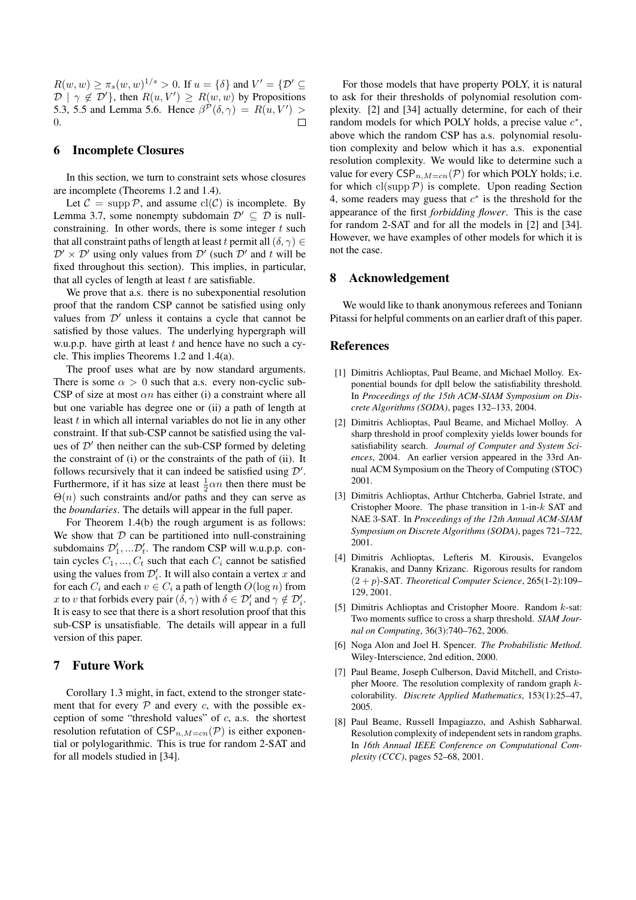$R(w, w) \ge \pi_s(w, w)^{1/s} > 0$ . If  $u = \{\delta\}$  and  $V' = \{D' \subseteq$  $\mathcal{D} \mid \gamma \notin \mathcal{D}'$ , then  $R(u, V') \ge R(w, w)$  by Propositions 5.3, 5.5 and Lemma 5.6. Hence  $\beta^{\mathcal{P}}(\delta, \gamma) = R(u, V') >$ 0.  $\Box$ 

# 6 Incomplete Closures

In this section, we turn to constraint sets whose closures are incomplete (Theorems 1.2 and 1.4).

Let  $C = \text{supp } P$ , and assume  $\text{cl}(C)$  is incomplete. By Lemma 3.7, some nonempty subdomain  $\mathcal{D}' \subseteq \mathcal{D}$  is nullconstraining. In other words, there is some integer  $t$  such that all constraint paths of length at least t permit all  $(\delta, \gamma) \in$  $\mathcal{D}' \times \mathcal{D}'$  using only values from  $\mathcal{D}'$  (such  $\mathcal{D}'$  and t will be fixed throughout this section). This implies, in particular, that all cycles of length at least  $t$  are satisfiable.

We prove that a.s. there is no subexponential resolution proof that the random CSP cannot be satisfied using only values from  $\mathcal{D}'$  unless it contains a cycle that cannot be satisfied by those values. The underlying hypergraph will w.u.p.p. have girth at least  $t$  and hence have no such a cycle. This implies Theorems 1.2 and 1.4(a).

The proof uses what are by now standard arguments. There is some  $\alpha > 0$  such that a.s. every non-cyclic sub-CSP of size at most  $\alpha n$  has either (i) a constraint where all but one variable has degree one or (ii) a path of length at least t in which all internal variables do not lie in any other constraint. If that sub-CSP cannot be satisfied using the values of  $\mathcal{D}'$  then neither can the sub-CSP formed by deleting the constraint of (i) or the constraints of the path of (ii). It follows recursively that it can indeed be satisfied using  $\mathcal{D}'$ . Furthermore, if it has size at least  $\frac{1}{2}\alpha n$  then there must be  $\Theta(n)$  such constraints and/or paths and they can serve as the *boundaries*. The details will appear in the full paper.

For Theorem 1.4(b) the rough argument is as follows: We show that  $D$  can be partitioned into null-constraining subdomains  $\mathcal{D}'_1, \dots \mathcal{D}'_t$ . The random CSP will w.u.p.p. contain cycles  $C_1, ..., C_t$  such that each  $C_i$  cannot be satisfied using the values from  $\mathcal{D}'_i$ . It will also contain a vertex x and for each  $C_i$  and each  $v \in C_i$  a path of length  $O(\log n)$  from x to v that forbids every pair  $(\delta, \gamma)$  with  $\delta \in \mathcal{D}'_i$  and  $\gamma \notin \mathcal{D}'_i$ . It is easy to see that there is a short resolution proof that this sub-CSP is unsatisfiable. The details will appear in a full version of this paper.

#### 7 Future Work

Corollary 1.3 might, in fact, extend to the stronger statement that for every  $P$  and every  $c$ , with the possible exception of some "threshold values" of  $c$ , a.s. the shortest resolution refutation of  $CSP_{n,M=cn}(\mathcal{P})$  is either exponential or polylogarithmic. This is true for random 2-SAT and for all models studied in [34].

For those models that have property POLY, it is natural to ask for their thresholds of polynomial resolution complexity. [2] and [34] actually determine, for each of their random models for which POLY holds, a precise value  $c^*$ , above which the random CSP has a.s. polynomial resolution complexity and below which it has a.s. exponential resolution complexity. We would like to determine such a value for every  $CSP_{n,M=cn}(\mathcal{P})$  for which POLY holds; i.e. for which  $cl(supp \, \mathcal{P})$  is complete. Upon reading Section 4, some readers may guess that  $c^*$  is the threshold for the appearance of the first *forbidding flower*. This is the case for random 2-SAT and for all the models in [2] and [34]. However, we have examples of other models for which it is not the case.

#### 8 Acknowledgement

We would like to thank anonymous referees and Toniann Pitassi for helpful comments on an earlier draft of this paper.

# **References**

- [1] Dimitris Achlioptas, Paul Beame, and Michael Molloy. Exponential bounds for dpll below the satisfiability threshold. In *Proceedings of the 15th ACM-SIAM Symposium on Discrete Algorithms (SODA)*, pages 132–133, 2004.
- [2] Dimitris Achlioptas, Paul Beame, and Michael Molloy. A sharp threshold in proof complexity yields lower bounds for satisfiability search. *Journal of Computer and System Sciences*, 2004. An earlier version appeared in the 33rd Annual ACM Symposium on the Theory of Computing (STOC) 2001.
- [3] Dimitris Achlioptas, Arthur Chtcherba, Gabriel Istrate, and Cristopher Moore. The phase transition in 1-in-k SAT and NAE 3-SAT. In *Proceedings of the 12th Annual ACM-SIAM Symposium on Discrete Algorithms (SODA)*, pages 721–722, 2001.
- [4] Dimitris Achlioptas, Lefteris M. Kirousis, Evangelos Kranakis, and Danny Krizanc. Rigorous results for random (2 + p)-SAT. *Theoretical Computer Science*, 265(1-2):109– 129, 2001.
- [5] Dimitris Achlioptas and Cristopher Moore. Random k-sat: Two moments suffice to cross a sharp threshold. *SIAM Journal on Computing*, 36(3):740–762, 2006.
- [6] Noga Alon and Joel H. Spencer. *The Probabilistic Method*. Wiley-Interscience, 2nd edition, 2000.
- [7] Paul Beame, Joseph Culberson, David Mitchell, and Cristopher Moore. The resolution complexity of random graph kcolorability. *Discrete Applied Mathematics*, 153(1):25–47, 2005.
- [8] Paul Beame, Russell Impagiazzo, and Ashish Sabharwal. Resolution complexity of independent sets in random graphs. In *16th Annual IEEE Conference on Computational Complexity (CCC)*, pages 52–68, 2001.